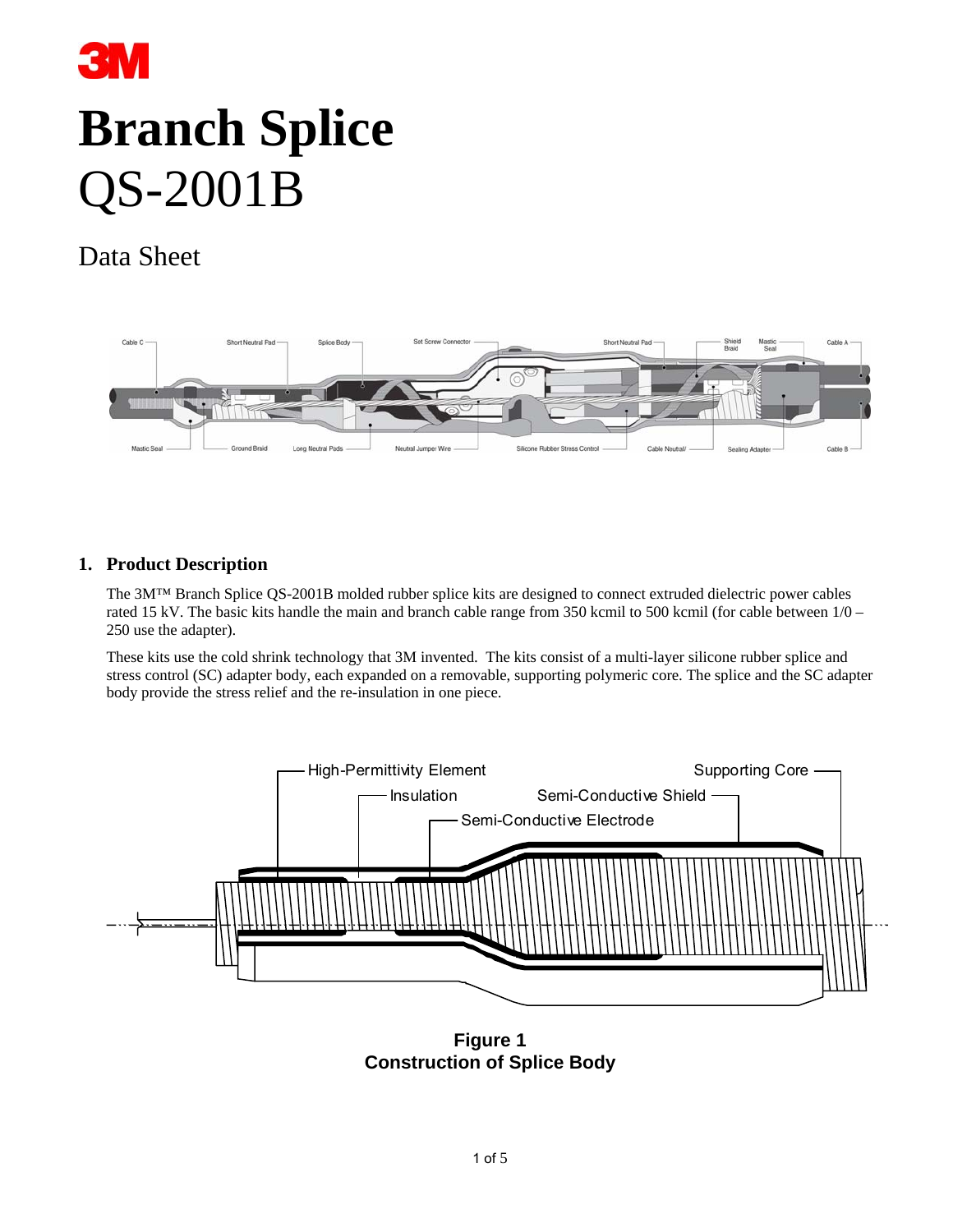

# **Branch Splice** QS-2001B

# Data Sheet



# **1. Product Description**

The 3M™ Branch Splice QS-2001B molded rubber splice kits are designed to connect extruded dielectric power cables rated 15 kV. The basic kits handle the main and branch cable range from 350 kcmil to 500 kcmil (for cable between 1/0 – 250 use the adapter).

These kits use the cold shrink technology that 3M invented. The kits consist of a multi-layer silicone rubber splice and stress control (SC) adapter body, each expanded on a removable, supporting polymeric core. The splice and the SC adapter body provide the stress relief and the re-insulation in one piece.



**Figure 1 Construction of Splice Body**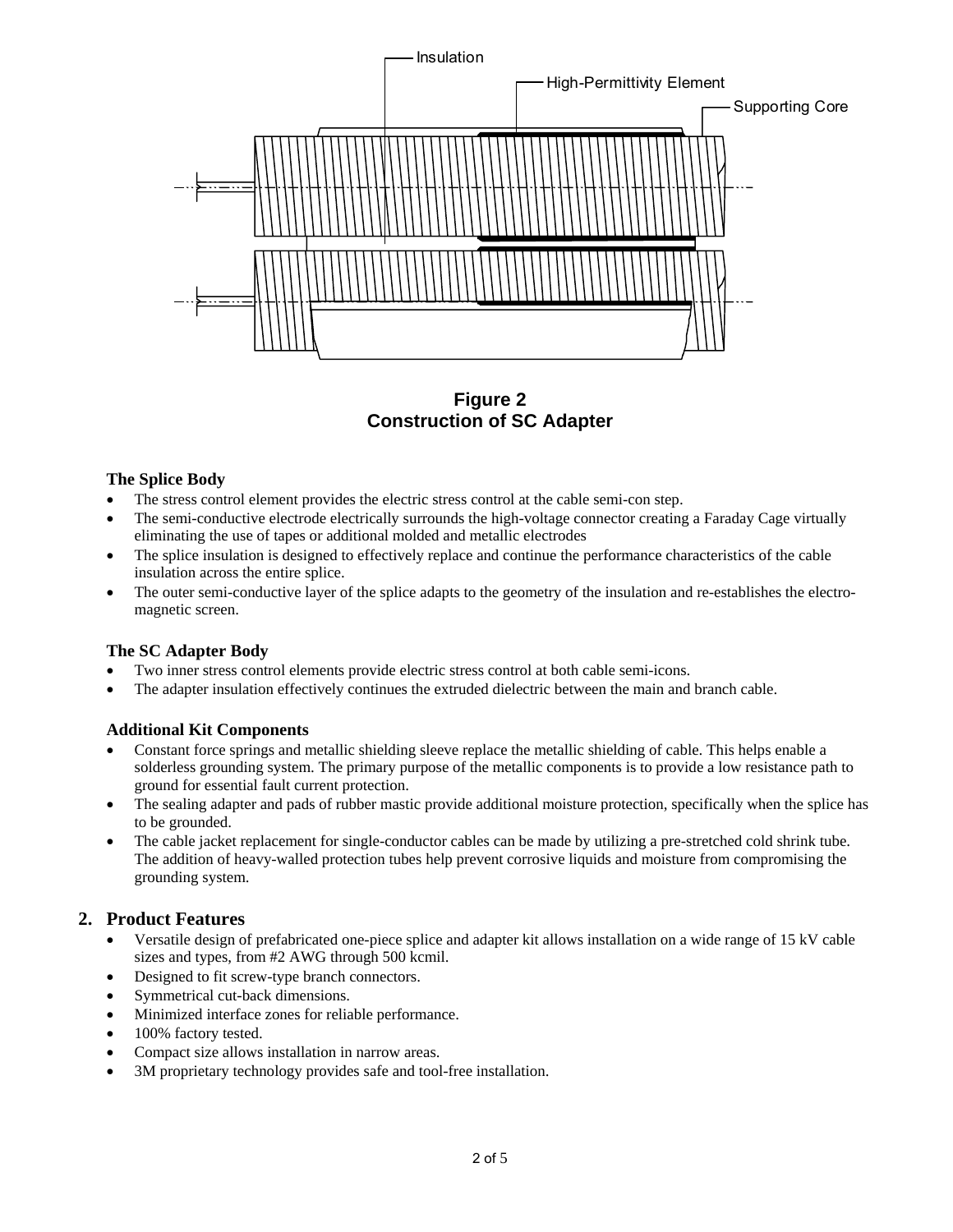

**Figure 2 Construction of SC Adapter**

#### **The Splice Body**

- The stress control element provides the electric stress control at the cable semi-con step.
- The semi-conductive electrode electrically surrounds the high-voltage connector creating a Faraday Cage virtually eliminating the use of tapes or additional molded and metallic electrodes
- The splice insulation is designed to effectively replace and continue the performance characteristics of the cable insulation across the entire splice.
- The outer semi-conductive layer of the splice adapts to the geometry of the insulation and re-establishes the electromagnetic screen.

#### **The SC Adapter Body**

- Two inner stress control elements provide electric stress control at both cable semi-icons.
- The adapter insulation effectively continues the extruded dielectric between the main and branch cable.

# **Additional Kit Components**

- Constant force springs and metallic shielding sleeve replace the metallic shielding of cable. This helps enable a solderless grounding system. The primary purpose of the metallic components is to provide a low resistance path to ground for essential fault current protection.
- The sealing adapter and pads of rubber mastic provide additional moisture protection, specifically when the splice has to be grounded.
- The cable jacket replacement for single-conductor cables can be made by utilizing a pre-stretched cold shrink tube. The addition of heavy-walled protection tubes help prevent corrosive liquids and moisture from compromising the grounding system.

# **2. Product Features**

- Versatile design of prefabricated one-piece splice and adapter kit allows installation on a wide range of 15 kV cable sizes and types, from #2 AWG through 500 kcmil.
- Designed to fit screw-type branch connectors.
- Symmetrical cut-back dimensions.
- Minimized interface zones for reliable performance.
- 100% factory tested.
- Compact size allows installation in narrow areas.
- 3M proprietary technology provides safe and tool-free installation.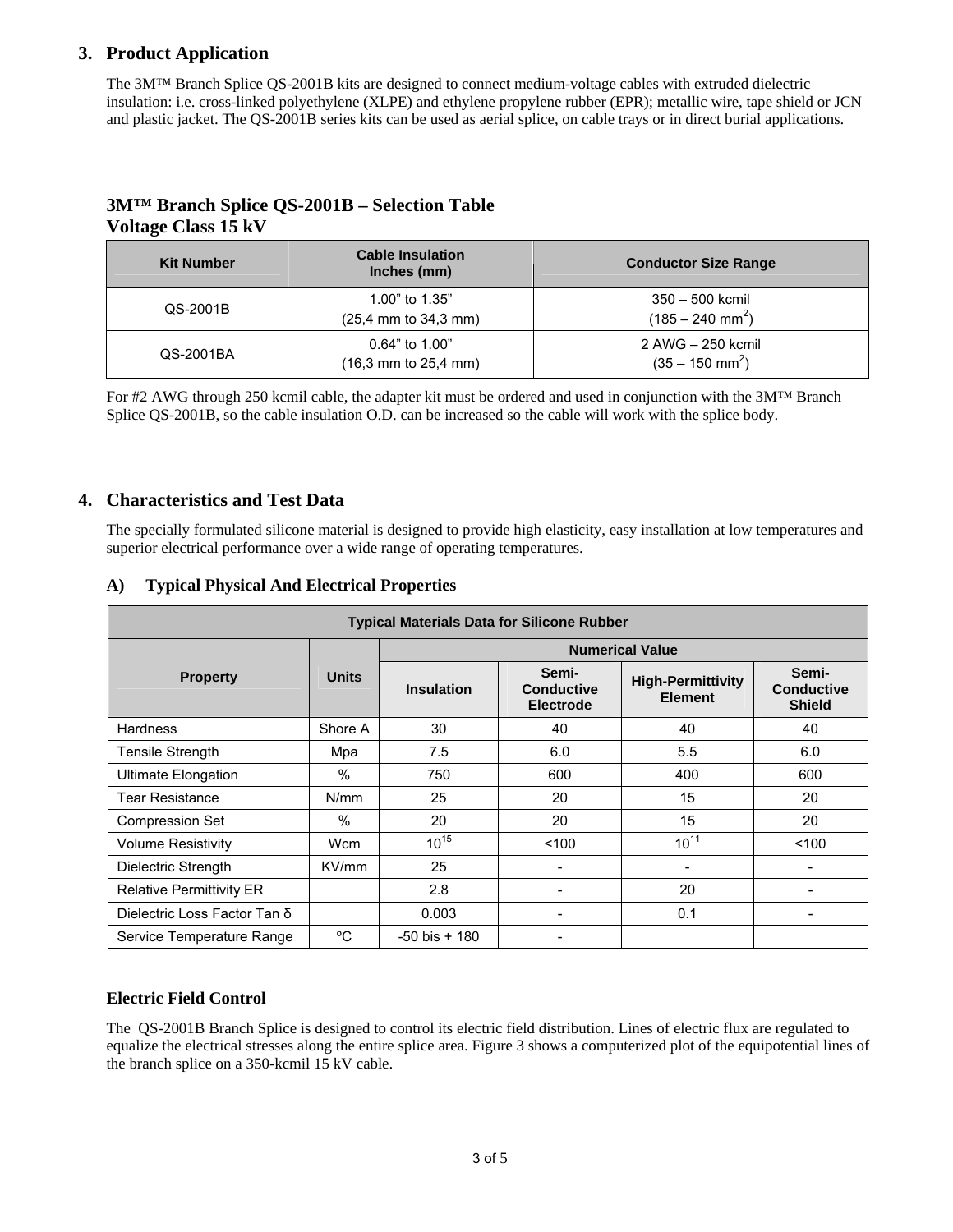# **3. Product Application**

The 3M™ Branch Splice QS-2001B kits are designed to connect medium-voltage cables with extruded dielectric insulation: i.e. cross-linked polyethylene (XLPE) and ethylene propylene rubber (EPR); metallic wire, tape shield or JCN and plastic jacket. The QS-2001B series kits can be used as aerial splice, on cable trays or in direct burial applications.

# **3M™ Branch Splice QS-2001B – Selection Table Voltage Class 15 kV**

| <b>Kit Number</b> | <b>Cable Insulation</b><br>Inches (mm)                                | <b>Conductor Size Range</b>                         |  |  |
|-------------------|-----------------------------------------------------------------------|-----------------------------------------------------|--|--|
| QS-2001B          | 1.00" to 1.35"<br>$(25,4 \, \text{mm} \text{ to } 34,3 \, \text{mm})$ | $350 - 500$ kcmil<br>$(185 - 240$ mm <sup>2</sup> ) |  |  |
| QS-2001BA         | $0.64$ " to $1.00$ "<br>$(16,3 \text{ mm to } 25,4 \text{ mm})$       | 2 AWG - 250 kcmil<br>$(35 - 150$ mm <sup>2</sup> )  |  |  |

For #2 AWG through 250 kcmil cable, the adapter kit must be ordered and used in conjunction with the 3M™ Branch Splice QS-2001B, so the cable insulation O.D. can be increased so the cable will work with the splice body.

## **4. Characteristics and Test Data**

The specially formulated silicone material is designed to provide high elasticity, easy installation at low temperatures and superior electrical performance over a wide range of operating temperatures.

|  | A) Typical Physical And Electrical Properties |  |
|--|-----------------------------------------------|--|
|--|-----------------------------------------------|--|

| <b>Typical Materials Data for Silicone Rubber</b> |              |                        |                                                |                                            |                                             |  |
|---------------------------------------------------|--------------|------------------------|------------------------------------------------|--------------------------------------------|---------------------------------------------|--|
|                                                   | <b>Units</b> | <b>Numerical Value</b> |                                                |                                            |                                             |  |
| <b>Property</b>                                   |              | <b>Insulation</b>      | Semi-<br><b>Conductive</b><br><b>Electrode</b> | <b>High-Permittivity</b><br><b>Element</b> | Semi-<br><b>Conductive</b><br><b>Shield</b> |  |
| <b>Hardness</b>                                   | Shore A      | 30                     | 40                                             | 40                                         | 40                                          |  |
| <b>Tensile Strength</b>                           | Mpa          | 7.5                    | 6.0                                            | 5.5                                        | 6.0                                         |  |
| <b>Ultimate Elongation</b>                        | $\%$         | 750                    | 600                                            | 400                                        | 600                                         |  |
| Tear Resistance                                   | N/mm         | 25                     | 20                                             | 15                                         | 20                                          |  |
| <b>Compression Set</b>                            | $\%$         | 20                     | 20                                             | 15                                         | 20                                          |  |
| <b>Volume Resistivity</b>                         | Wcm          | $10^{15}$              | 100                                            | $10^{11}$                                  | 100                                         |  |
| Dielectric Strength                               | KV/mm        | 25                     | ۰                                              |                                            |                                             |  |
| <b>Relative Permittivity ER</b>                   |              | 2.8                    | -                                              | 20                                         |                                             |  |
| Dielectric Loss Factor Tan δ                      |              | 0.003                  | $\overline{\phantom{a}}$                       | 0.1                                        |                                             |  |
| Service Temperature Range                         | °C           | $-50$ bis $+180$       |                                                |                                            |                                             |  |

#### **Electric Field Control**

The QS-2001B Branch Splice is designed to control its electric field distribution. Lines of electric flux are regulated to equalize the electrical stresses along the entire splice area. Figure 3 shows a computerized plot of the equipotential lines of the branch splice on a 350-kcmil 15 kV cable.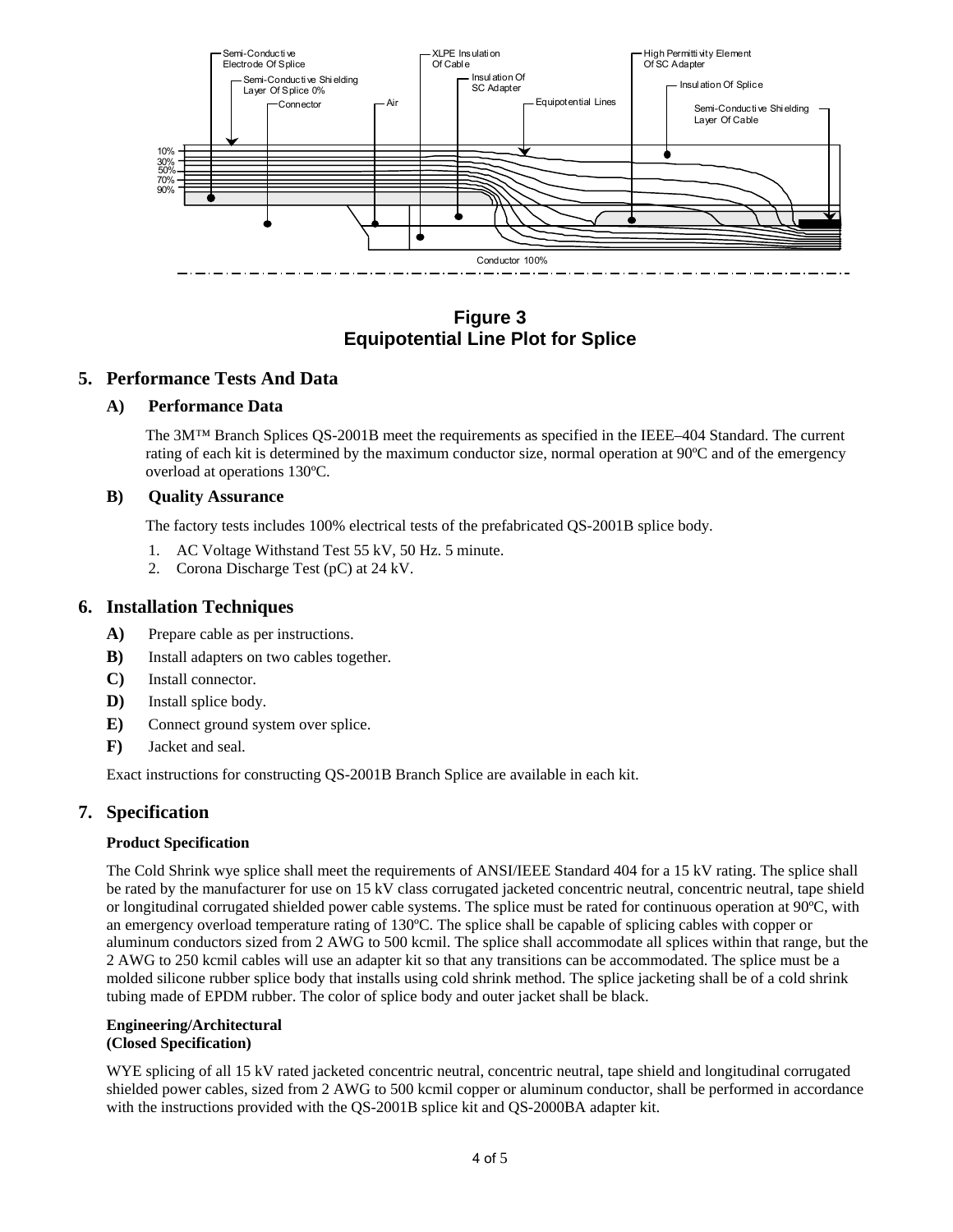

**Figure 3 Equipotential Line Plot for Splice** 

#### **5. Performance Tests And Data**

#### **A) Performance Data**

 The 3M™ Branch Splices QS-2001B meet the requirements as specified in the IEEE–404 Standard. The current rating of each kit is determined by the maximum conductor size, normal operation at 90ºC and of the emergency overload at operations 130ºC.

#### **B) Quality Assurance**

The factory tests includes 100% electrical tests of the prefabricated QS-2001B splice body.

- 1. AC Voltage Withstand Test 55 kV, 50 Hz. 5 minute.
- 2. Corona Discharge Test (pC) at 24 kV.

#### **6. Installation Techniques**

- **A)** Prepare cable as per instructions.
- **B)** Install adapters on two cables together.
- **C)** Install connector.
- **D)** Install splice body.
- **E)** Connect ground system over splice.
- **F)** Jacket and seal.

Exact instructions for constructing QS-2001B Branch Splice are available in each kit.

#### **7. Specification**

#### **Product Specification**

The Cold Shrink wye splice shall meet the requirements of ANSI/IEEE Standard 404 for a 15 kV rating. The splice shall be rated by the manufacturer for use on 15 kV class corrugated jacketed concentric neutral, concentric neutral, tape shield or longitudinal corrugated shielded power cable systems. The splice must be rated for continuous operation at 90ºC, with an emergency overload temperature rating of 130ºC. The splice shall be capable of splicing cables with copper or aluminum conductors sized from 2 AWG to 500 kcmil. The splice shall accommodate all splices within that range, but the 2 AWG to 250 kcmil cables will use an adapter kit so that any transitions can be accommodated. The splice must be a molded silicone rubber splice body that installs using cold shrink method. The splice jacketing shall be of a cold shrink tubing made of EPDM rubber. The color of splice body and outer jacket shall be black.

#### **Engineering/Architectural (Closed Specification)**

WYE splicing of all 15 kV rated jacketed concentric neutral, concentric neutral, tape shield and longitudinal corrugated shielded power cables, sized from 2 AWG to 500 kcmil copper or aluminum conductor, shall be performed in accordance with the instructions provided with the QS-2001B splice kit and QS-2000BA adapter kit.